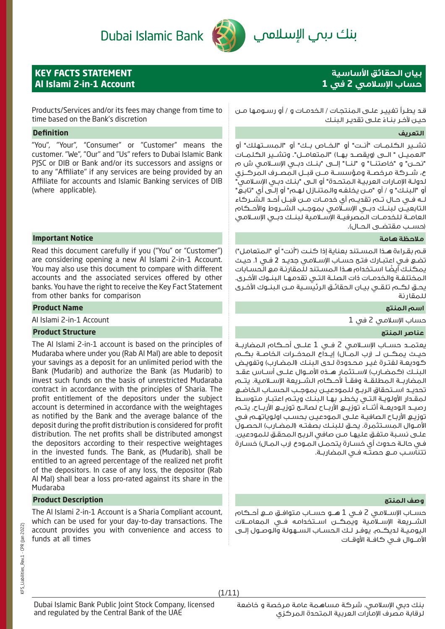# بنك دبمي الإسلاممي



**KEY FACTS STATEMENT**

**Al Islami 2-in-1 Account**

# **بيان الحقائق األساسية حساب اإلسالمي 2 في 1**

Products/Services and/or its fees may change from time to time based on the Bank's discretion

Dubai Islamic Bank

## **التعريف Definition**

"You", "Your", "Consumer" or "Customer" means the customer. "We", "Our" and "Us" refers to Dubai Islamic Bank PJSC or DIB or Bank and/or its successors and assigns or to any "Affiliate" if any services are being provided by an Affiliate for accounts and Islamic Banking services of DIB (where applicable).

### **مالحظة هامة Notice Important**

Read this document carefully if you ("You" or "Customer") are considering opening a new Al Islami 2-in-1 Account. You may also use this document to compare with different accounts and the associated services offered by other banks. You have the right to receive the Key Fact Statement from other banks for comparison

# **اسم المنتج Name Product**

Al Islami 2-in-1 Account 1 في 2 اإلسالمي حساب

### **عناصر المنتج Structure Product**

The Al Islami 2-in-1 account is based on the principles of Mudaraba where under you (Rab Al Mal) are able to deposit your savings as a deposit for an unlimited period with the Bank (Mudarib) and authorize the Bank (as Mudarib) to invest such funds on the basis of unrestricted Mudaraba contract in accordance with the principles of Sharia. The profit entitlement of the depositors under the subject account is determined in accordance with the weightages as notified by the Bank and the average balance of the deposit during the profit distribution is considered for profit distribution. The net profits shall be distributed amongst the depositors according to their respective weightages in the invested funds. The Bank, as (Mudarib), shall be entitled to an agreed percentage of the realized net profit of the depositors. In case of any loss, the depositor (Rab Al Mal) shall bear a loss pro-rated against its share in the Mudaraba

# **وصف المنتج Description Product**

The Al Islami 2-in-1 Account is a Sharia Compliant account, which can be used for your day-to-day transactions. The account provides you with convenience and access to funds at all times

قـد يطـرأ تغييـر علـى المنتجـات / الخدمـات و / أو رسـومها مـن حيـن لآخـر بنـاءً علــى تقديـر البنـك

تشــير الكلمــات "أنــت" أو "الخــاص بــك" أو "المســتهلك" أو "العميــل " الــى (ويقصــد بهـا) "المتعامــل". وتشــير الكـلمــات "نحــن" و "خاصتنــا" و "لنــا" إلــى "بنــك دبــي اإلســامي ش م ع، شــركة مرخصــة ومؤسســة مــن قبــل المصــرف المركــزي لدولـة اإلمـارات العربيـة المتحـدة" أو الـى "بنـك دبـي اإلسـامي" أو "البنـك" و / أو "مـن يخلفـه والمتنـازل لهـم" أو إلـى أي "تابـع" لــه فــي حــال تــم تقديــم أي خدمــات مــن قبــل أحــد الشــركاء التابعيــن لبنــك دبــي اإلســامي بموجــب الشــروط واألحــكام العامــة للخدمــات المصرفيــة اإلســامية لبنــك دبــي اإلســامي )حســب مقتضــى الحــال(.

قـم بقـراءة هـذا المسـتند بعناية إذا كنـت )"أنت" أو "المتعامل"( تضـع فـي اعتبـارك فتـح حسـاب اإلسـامي جديـد 2 فـي .1 حيـث ً يمكنـك أيضـا اسـتخدام هـذا المسـتند للمقارنـة مع الحسـابات المختلفـة والخدمـات ذات الصلـة التـي تقدمهـا البنـوك األخـرى. يحــق لكــم تلقــي بيــان الحقائــق الرئيســية مــن البنــوك األخــرى للمقارنة

يعتمــد حســاب اإلســامي 2 فــي 1 علــى أحــكام المضاربــة حيــث يمكــن لــ )رب المــال( إيــداع المدخــرات الخاصــة بكــم كوديعـة لـفتـرة غيـر محـدودة لـدى الـبنـك (الـمضـارب) وتفويـض البنــك (كمضـارب) لاســتثمار هــذه الأمــوال علــى أســاس عقــد المضاربــة المطلقــة وفقــا ألحــكام الشــريعة اإلســامية. يتــم تحديــد اســتحقاق الربــح للمودعيــن بموجــب الحســاب الخاضــع لمقـدار األولويـة التـي يخطـر بهـا البنـك ويتـم اعتبـار متوسـط رصيــد الوديعــة أثنــاء توزيــع األربــاح لصالــح توزيــع األربــاح. يتــم توزيـع األربـاح الصافيـة علـى المودعيـن بحسـب اولوياتهـم فـي الأمـوال المسـتثمرة. يحـق للبنـك بصفتـه (المضـارب) الحصـول علـى نسـبة متفـق عليهـا مـن صافي الربـح المحقـق للمودعين. فـي حالـة حـدوث أي خسـارة يتحمـل المـودع )رب المـال( خسـارة تتناســب مــع حصتــه فــي المضاربــة.

حســاب اإلســامي 2 فــي 1 هــو حســاب متوافــق مــع أحــكام الشــريعة اإلســامية ويمكــن اســتخدامه فــي المعامــات اليوميــة لديكــم. يوفــر لــك الحســاب الســهولة والوصــول إلــى األمــوال فــي كافــة األوقــات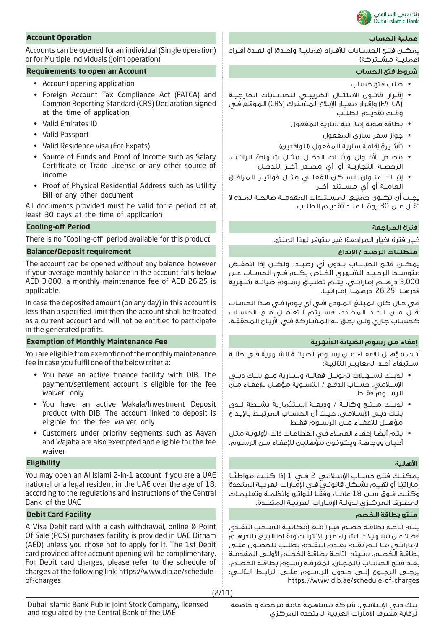

يمكــن فتــح الحســابات للأفــراد (عمليــة واحــدة) أو لعــدة أفــراد (عمليــة مشــتركة)

- طلب فتح حساب
- إقــرار قانــون االمتثــال الضريبــي للحســابات الخارجيــة )FATCA )وإقـرار معيـار اإلبـاغ المشـترك )CRS )الموقـع فـي وقــت تقديــم الطلــب
	- بطاقة هوية إماراتية سارية المفعول
		- جواز سفر ساري المفعول
	- تأشيرة إقامة سارية المفعول (للوافدين)
- مصــدر األمــوال وإثبــات الدخــل مثــل شــهادة الراتــب، الرخصــة التجاريــة أو أي مصــدر آخــر للدخــل
- إثبــات عنــوان الســكن الفعلــي مثــل فواتيــر المرافــق العامــة أو أي مســتند آخــر

يجــب أن تكــون جميــع المســتندات المقدمــة صالحــة لمــدة ال تقــل عــن 30 يومًــا عنــد تقديــم الطلــب. **ا** 

يمكــن فتــح الحســاب بــدون أي رصيــد، ولكــن إذا انخفــض متوســط الرصيــد الشــهري الخــاص بكــم فــي الحســاب عــن 3,000 درهــم إماراتــي، يتــم تطبيــق رســوم صيانــة شــهرية قدرهـــا 26.25 درهمْـــاً إماراتيْــا. ً

فـي حـال كـان الـمـبـلـغ الـمـودع (فـي أي يـوم) فـي هـذا الـحسـاب أقــل مــن الحــد المحــدد، فســيتم التعامــل مــع الحســاب كحسـاب جـاري ولـن يحـق لـه المشـاركة فـي األربـاح المحققـة.

أنــت مؤهــل لإلعفــاء مــن رســوم الصيانــة الشــهرية فــي حالــة اســتيفاء أحــد المعاييــر التاليــة:

- لديــك تســهيالت تمويــل فعالــة وســارية مــع بنــك دبــي اإلسـامي. حسـاب الدفـع / التسـوية مؤهـل لإلعفـاء مـن الرســوم فقــط
- لديــك منتــج وكالــة / وديعــة اســتثمارية نشــطة لــدى بنــك دبــي اإلســامي. حيــث أن الحســاب المرتبــط باإليــداع مؤهــل لإلعفــاء مــن الرســوم فقــط
- ً يتـم أيضـا إعفـاء العمـاء فـي القطاعـات ذات األولويـة مثـل أعيـان ووجاهـة ويكونـون مؤهليـن لإلعفـاء مـن الرسـوم.

يمكنــك فتـــح حســـاب الإســــلامـي 2 فــي 1 إذا كنــت مـواطنًــا ِماراتيْـا أو تقيـم بشـكل قانونـي فـي الإمـارات العربيـة المتحدة وكنــت فـوق ســن 18 عامًــا، وفقًـا للـوائــح وأنظمــة وتعليمــات ً المصــرف المركــزي لدولــة اإلمــارات العربيــة المتحــدة.

يتــم اتاحــة بطاقــة خصــم فيــزا مــع إمكانيــة الســحب النقــدي فضـا عـن تسـهيالت الشـراء عبـر اإلنترنـت ونقـاط البيـع بالدرهـم اإلماراتــي مــا لــم تقــم بعــدم التقــدم بطلــب للحصــول علــى بطاقـة الخصـم. سـيتم اتاحـة بطاقـة الخصـم األولـى المقدمـة بعــد فتــح الحســاب بالمجــان. لمعرفــة رســوم بطاقــة الخصــم، يرجــى الرجــوع إلــى جــدول الرســوم علــى الرابــط التالــي: https://www.dib.ae/schedule-of-charges

# **عملية الحساب Operation Account**

Accounts can be opened for an individual (Single operation) or for Multiple individuals (Joint operation)

### **Requirements to open an Account الحساب فتح شروط**

- Account opening application
- Foreign Account Tax Compliance Act (FATCA) and Common Reporting Standard (CRS) Declaration signed at the time of application
- Valid Emirates ID
- Valid Passport
- Valid Residence visa (For Expats)
- Source of Funds and Proof of Income such as Salary Certificate or Trade License or any other source of income
- Proof of Physical Residential Address such as Utility Bill or any other document

All documents provided must be valid for a period of at least 30 days at the time of application

# **Cooling-off Period المراجعة فترة**

There is no "Cooling-off" period available for this product .المنتج لهذا متوفر غير( المراجعة خيار )فترة خيار

## **متطلبات الرصيد / اإليداع requirement Deposit/Balance**

The account can be opened without any balance, however if your average monthly balance in the account falls below AED 3,000, a monthly maintenance fee of AED 26.25 is applicable.

In case the deposited amount (on any day) in this account is less than a specified limit then the account shall be treated as a current account and will not be entitled to participate in the generated profits.

### **إعفاء من رسوم الصيانة الشهرية Fee Maintenance Monthly of Exemption**

You are eligible from exemption of the monthly maintenance fee in case you fulfil one of the below criteria:

- You have an active finance facility with DIB. The payment/settlement account is eligible for the fee waiver only
- You have an active Wakala/Investment Deposit product with DIB. The account linked to deposit is eligible for the fee waiver only
- Customers under priority segments such as Aayan and Wajaha are also exempted and eligible for the fee waiver

### **األهلية Eligibility**

You may open an Al Islami 2-in-1 account if you are a UAE national or a legal resident in the UAE over the age of 18, according to the regulations and instructions of the Central Bank of the UAE

# **منتج بطاقة الخصم Facility Card Debit**

A Visa Debit card with a cash withdrawal, online & Point Of Sale (POS) purchases facility is provided in UAE Dirham (AED) unless you chose not to apply for it. The 1st Debit card provided after account opening will be complimentary. For Debit card charges, please refer to the schedule of charges at the following link: https://www.dib.ae/scheduleof-charges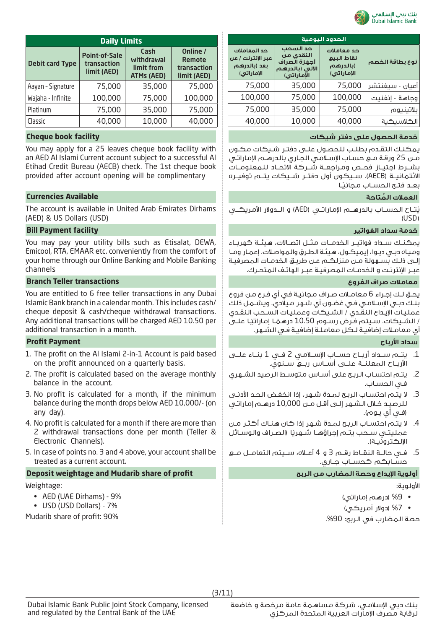

| <b>Daily Limits</b>    |                                                    |                                                |                                                         |  |  |
|------------------------|----------------------------------------------------|------------------------------------------------|---------------------------------------------------------|--|--|
| <b>Debit card Type</b> | <b>Point-of-Sale</b><br>transaction<br>limit (AED) | Cash<br>withdrawal<br>limit from<br>ATMs (AED) | Online /<br><b>Remote</b><br>transaction<br>limit (AED) |  |  |
| Aayan - Signature      | 75,000                                             | 35,000                                         | 75,000                                                  |  |  |
| Wajaha - Infinite      | 100,000                                            | 75,000                                         | 100,000                                                 |  |  |
| Platinum               | 75,000                                             | 35,000                                         | 75,000                                                  |  |  |
| Classic                | 40,000                                             | 10,000                                         | 40,000                                                  |  |  |

You may apply for a 25 leaves cheque book facility with an AED Al Islami Current account subject to a successful Al Etihad Credit Bureau (AECB) check. The 1st cheque book provided after account opening will be complimentary

# **ُ العمالت المتاحة Available Currencies**

The account is available in United Arab Emirates Dirhams (AED) & US Dollars (USD)

## **خدمة سداد الفواتير facility Payment Bill**

You may pay your utility bills such as Etisalat, DEWA, Emicool, RTA, EMAAR etc. conveniently from the comfort of your home through our Online Banking and Mobile Banking channels

## **معامالت صراف الفروع transactions Teller Branch**

You are entitled to 6 free teller transactions in any Dubai Islamic Bank branch in a calendar month. This includes cash/ cheque deposit & cash/cheque withdrawal transactions. Any additional transactions will be charged AED 10.50 per additional transaction in a month.

# **سداد األرباح Payment Profit**

- 1. The profit on the Al Islami 2-in-1 Account is paid based on the profit announced on a quarterly basis.
- 2. The profit is calculated based on the average monthly balance in the account.
- 3. No profit is calculated for a month, if the minimum balance during the month drops below AED 10,000/- (on any day).
- 4. No profit is calculated for a month if there are more than 2 withdrawal transactions done per month (Teller & Electronic Channels).
- 5. In case of points no. 3 and 4 above, your account shall be treated as a current account.

# **Deposit weightage and Mudarib share of profit الربح من المضارب وحصة اإليداع أولوية**

Weightage:

- AED (UAE Dirhams) 9%
- USD (USD Dollars) 7%

Mudarib share of profit: 90%

| الحدود اليومية                                                  |                                                                       |                                                    |                 |  |  |
|-----------------------------------------------------------------|-----------------------------------------------------------------------|----------------------------------------------------|-----------------|--|--|
| حد المعاملات<br>عبر الإنترنت / عن<br>بعد (بالدرهم<br>الإماراتي) | حد السحب<br>النقدى من<br>أجهزة الصراف<br>الآلى (بالدرهم<br>الإماراتي) | حد معاملات<br>نقاط البيع<br>(بالدرهم<br>الإماراتي) | نوع بطاقة الخصم |  |  |
| 75,000                                                          | 35,000                                                                | 75,000                                             | أعيان - سيغنتشر |  |  |
| 100,000                                                         | 75,000                                                                | 100,000                                            | وجاهة - إنفنيت  |  |  |
| 75,000                                                          | 35,000                                                                | 75,000                                             | بلاتينيوم       |  |  |
| 40,000                                                          | 10,000                                                                | 40,000                                             | الكلاسيكية      |  |  |
|                                                                 |                                                                       |                                                    |                 |  |  |

### **خدمة الحصول على دفتر شيكات facility book Cheque**

يمكنـك التقـدم بطلـب للحصـول علـى دفتـر شـيكات مكـون مـن 25 ورقـة مـع حسـاب اإلسـامي الجـاري بالدرهـم اإلماراتـي بشــرط اجتيــاز فحــص ومـراجعــة شــركـة الاتحــاد للـمعلـومــات االئتمانيــة )AECB). ســيكون أول دفتــر شــيكات يتــم توفيــره بعـد فتــح الحســاب مجانيًـا

يُتــاح الـحســاب بالـدرهـــــــم الإمـاراتـــي (AED) و الــــدولار الأمـريـــكـــي  $\sim$  $(USD)$ 

يمكنــك ســداد فواتيــر الخدمــات مثــل اتصــالات، هيئــة كهربــاء وميـاه دبـي ديـوا، إيميكـول، هيئـة الطـرق والمواصـات، إعمـار ومـا إلـى ذلـك بسـهولة مـن منزلكـم عـن طريـق الخدمـات المصرفيـة عبــر الإنترنــت و الـخدمــات الـمصرفيــة عبــر الـهاتـف الـمتحــرك.

يحـق لـك إجـراء 6 معامـات صـراف مجانيـة في أي فـرع من فروع بنـك دبـي اإلسـامي فـي غضـون أي شـهر ميالدي. ويشـمل ذلك عمليـات اإليـداع النقـدي / الشـيكات وعمليـات السـحب النقـدي ًـا علـى درهمـا إماراتي / الشـيكات. سـيتم فـرض رسـوم 10.50 ً أي معامـات إضافيـة لـكل معاملـة إضافيـة فـي الشـهر.

- .1 يتــم ســداد أربــاح حســاب اإلســامي 2 فــي 1 بنــاء علــى األربــاح المعلنــة علــى أســاس ربــع ســنوي.
- .2 يتـم احتسـاب الربـح على أسـاس متوسـط الرصيد الشـهري فـي الحسـاب.
- .3 ال يتـم احتسـاب الربـح لمـدة شـهر، إذا انخفـض الحـد األدنـى للرصيـد خـال الشـهر إلـى أقـل مـن 10,000 درهـم إماراتـي (فـي أي يـوم).
- .4 ال يتـم احتسـاب الربـح لمـدة شـهر إذا كان هنـاك أكثـر مـن عمليتـي سـحب يتـم إجراؤهـا شـهريًا (الصـراف والوسـائل الإلكترونيــة).
- .5 فــي حالــة النقــاط رقــم 3 و 4 أعــاه، ســيتم التعامــل مــع حســابكم كحســاب جــاري.

الأولوية:

- %9 )درهم إماراتي(
- %7 )دوالر أمريكي(

حصة المضارب في الربح: 90%.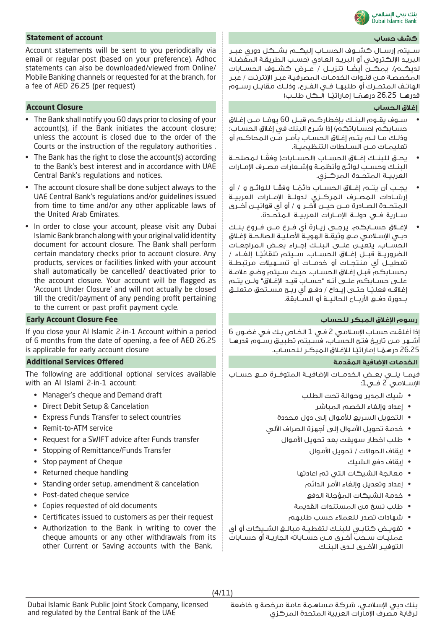

# **Statement of account حساب كشف**

Account statements will be sent to you periodically via email or regular post (based on your preference). Adhoc statements can also be downloaded/viewed from Online/ Mobile Banking channels or requested for at the branch, for a fee of AED 26.25 (per request)

## **إغالق الحساب Closure Account**

- The Bank shall notify you 60 days prior to closing of your account(s), if the Bank initiates the account closure; unless the account is closed due to the order of the Courts or the instruction of the regulatory authorities .
- The Bank has the right to close the account(s) according to the Bank's best interest and in accordance with UAE Central Bank's regulations and notices.
- The account closure shall be done subject always to the UAE Central Bank's regulations and/or guidelines issued from time to time and/or any other applicable laws of the United Arab Emirates.
- In order to close your account, please visit any Dubai Islamic Bank branch along with your original valid identity document for account closure. The Bank shall perform certain mandatory checks prior to account closure. Any products, services or facilities linked with your account shall automatically be cancelled/ deactivated prior to the account closure. Your account will be flagged as 'Account Under Closure' and will not actually be closed till the credit/payment of any pending profit pertaining to the current or past profit payment cycle.

If you close your Al Islamic 2-in-1 Account within a period of 6 months from the date of opening, a fee of AED 26.25 is applicable for early account closure

### **الخدمات اإلضافية المقدمة Offered Services Additional**

The following are additional optional services available with an Al Islami 2-in-1 account:

- Manager's cheque and Demand draft
- Direct Debit Setup & Cancelation
- Express Funds Transfer to select countries
- Remit-to-ATM service
- Request for a SWIFT advice after Funds transfer
- Stopping of Remittance/Funds Transfer
- Stop payment of Cheque
- Returned cheque handling
- Standing order setup, amendment & cancelation
- Post-dated cheque service
- Copies requested of old documents
- Certificates issued to customers as per their request
- Authorization to the Bank in writing to cover the cheque amounts or any other withdrawals from its other Current or Saving accounts with the Bank.

ســيتم إرســال كشــوف الحســاب إليكــم بشــكل دوري عبــر البريـد الإلكـترونـي أو البريـد العـادي (حسـب الطريقـة الـمفضلـة لديكـــم). يمكـــن أيضًــا تنزيـــل / عــرض كشـــوف الـحســـابات المخصصـة مـن قنـوات الخدمـات المصرفيـة عبـر اإلنترنـت / عبـر الهاتــف المتحــرك أو طلبهــا فــي الفــرع، وذلــك مقابــل رســوم قدرهـــا 26.25 درهمْـــا إماراتيْــا (لــكـل طلــب) ً

- ســوف يقــوم البنــك بإخطاركــم قبــل 60 يومًــا مــن إغــلاق ً حسـابكـم (حسـاباتكـم) إذا شـرع البنك في إغلاق الحسـاب؛ وذلـك مـا لـم يتـم إغـاق الحسـاب بأمـر مـن المحاكـم أو تعليمــات مــن الســلطات التنظيميــة.
- يحــق للبنــك إغــلاق الحســاب (الحســابات) وفقًــا لمصلحــة البنــك وحســب لوائــح وأنظمــة وإشــعارات مصــرف اإلمــارات العربيــة المتحــدة المركــزي.
- يجــب أن يتـــم إغــلاق الـحســـاب دائمـَــا وفقــا لـلـوائــح و / أو إرشــادات المصــرف المركــزي لدولــة اإلمــارات العربيــة المتحــدة الصــادرة مــن حيــن آلخــر و / أو أي قوانيــن أخــرى ســارية فــي دولــة اإلمــارات العربيــة المتحــدة.
- إلغــاق حســابكم، يرجــى زيــارة أي فــرع مــن فــروع بنــك دبــي اإلســامي مــع وثيقــة الهويــة األصليــة الصالحــة إلغــاق الحســاب. يتعيــن علــى البنــك إجــراء بعــض المراجعــات الضروريــة قبــل إغــلاق الـحســاب. ســيتم تلقائيـًـا إلـغــاء / تعطيــل أي منتجــات أو خدمــات أو تســهيالت مرتبطــة بحسـابكم قبـل إغـاق الحسـاب. حيـث سـيتم وضـع عالمـة علـى حسـابكم علـى أنـه "حسـاب قيـد اإلغـاق" ولـن يتـم <sub>إ</sub>غلاقـــه فعلـيـًــا صتـــى إيـــداع / دفـــع أي ربـــح مســـتحق مـتعلـــق بــدورة دفــع األربــاح الحاليــة أو الســابقة.

# **رسوم اإلغالق المبكر للحساب Fee Closure Account Early**

إذا أغلقـت حسـاب اإلسـامي 2 فـي 1 الخـاص بـك فـي غضـون 6 أشـهر مـن تاريـخ فتـح الحسـاب، فسـيتم تطبيـق رسـوم قدرهـا 26.25 درهمًــا إماراتيًـا للإغـلاق الـمبكـر للحسـاب.

فيمــا يلــي بعــض الخدمــات اإلضافيــة المتوفــرة مــع حســاب اإلســامي 2 فــي:1

- شيك المدير وحوالة تحت الطلب
	- إعداد وإلغاء الخصم المباشر
- التحويل السريع لألموال إلى دول محددة
- خدمة تحويل األموال إلى أجهزة الصراف اآللي
	- طلب اخطار سويفت بعد تحويل األموال
		- إيقاف الحواالت / تحويل األموال
			- إيقاف دفع الشيك
		- معالجة الشيكات التي تم اعادتها
			- إعداد وتعديل وإلغاء األمر الدائم
			- خدمة الشيكات المؤجلة الدفع
		- طلب نسخ من المستندات القديمة
		- شهادات تصدر للعمالء حسب طلبهم
- تفويــض كتابــي للبنــك لتغطيــة مبالــغ الشــيكات أو أي عمليــات ســحب أخــرى مــن حســاباته الجاريــة أو حســابات التوفيــر األخــرى لــدى البنــك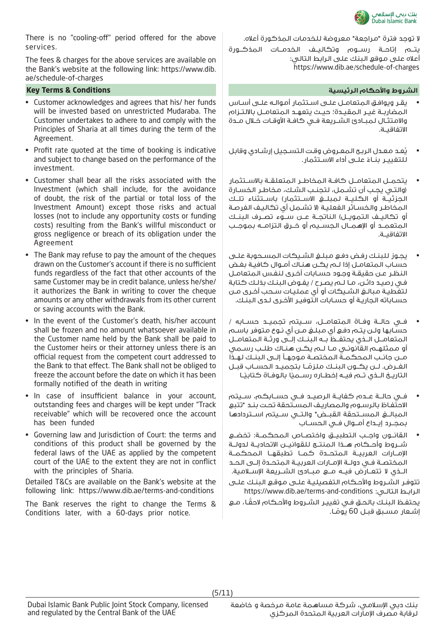

There is no "cooling-off" period offered for the above services.

The fees & charges for the above services are available on the Bank's website at the following link: https://www.dib. ae/schedule-of-charges

### **الشروط واألحكام الرئيسية Conditions & Terms Key**

- Customer acknowledges and agrees that his/ her funds will be invested based on unrestricted Mudaraba. The Customer undertakes to adhere to and comply with the Principles of Sharia at all times during the term of the Agreement.
- Profit rate quoted at the time of booking is indicative and subject to change based on the performance of the investment.
- Customer shall bear all the risks associated with the Investment (which shall include, for the avoidance of doubt, the risk of the partial or total loss of the Investment Amount) except those risks and actual losses (not to include any opportunity costs or funding costs) resulting from the Bank's willful misconduct or gross negligence or breach of its obligation under the Agreement
- The Bank may refuse to pay the amount of the cheques drawn on the Customer's account if there is no sufficient funds regardless of the fact that other accounts of the same Customer may be in credit balance, unless he/she/ it authorizes the Bank in writing to cover the cheque amounts or any other withdrawals from its other current or saving accounts with the Bank.
- In the event of the Customer's death, his/her account shall be frozen and no amount whatsoever available in the Customer name held by the Bank shall be paid to the Customer heirs or their attorney unless there is an official request from the competent court addressed to the Bank to that effect. The Bank shall not be obliged to freeze the account before the date on which it has been formally notified of the death in writing
- In case of insufficient balance in your account, outstanding fees and charges will be kept under "Track receivable" which will be recovered once the account has been funded
- Governing law and Jurisdiction of Court: the terms and conditions of this product shall be governed by the federal laws of the UAE as applied by the competent court of the UAE to the extent they are not in conflict with the principles of Sharia.

Detailed T&Cs are available on the Bank's website at the following link: https://www.dib.ae/terms-and-conditions

The Bank reserves the right to change the Terms & Conditions later, with a 60-days prior notice.

ال توجد فترة "مراجعة" معروضة للخدمات المذكورة أعاله.

يتــم إتاحــة رســوم وتكاليــف الخدمــات المذكــورة أعاله على موقع البنك على الرابط التالي: https://www.dib.ae/schedule-of-charges

- يقـر ويوافـق المتعامـل علـى اسـتثمار أموالـه علـى أسـاس المضاربــة غيــر المقيــدة؛ حيــث يتعهــد المتعامــل بااللتــزام والامـتثــال لـمبــادئ الشــريعة فــي كافــة الأوقــات خــلال مــدة االتفاقيــة.
- يُعد معـدل الربح المعـروض وقت التسـجيل إرشـادي وقابل للتغييـر بنــاءُ علــى أداء الاســتثمار.<br>-
- يتحمــل المتعامــل كافــة المخاطــر المتعلقــة باالســتثمار )والتـي يجـب أن تشـمل، لتجنـب الشـك، مخاطـر الخسـارة الجزئيــة أو الكليــة لمبلــغ االســتثمار( باســتثناء تلــك المخاطـر والخسـائر الفعليـة (لا تشـمل أي تكاليـف الـفرصـة أو تكاليــف الـتمويــل) الناتجــة عــن ســوء تصــرف الـبنــك المتعمــد أو اإلهمــال الجســيم أو خــرق التزامــه بموجــب االتفاقيــة.
- يجـوز للبنـك رفـض دفـع مبلـغ الشـيكات المسـحوبة علـى حسـاب المتعامـل إذا لـم يكـن هنـاك أمـوال كافيـة بغـض النظـر عـن حقيقـة وجـود حسـابات أخـرى لنفـس المتعامـل فـي رصيـد دائـن، مـا لـم يصـرح / يفـوض البنـك بذلـك كتابة لتغطيـة مبالـغ الشـيكات أو أي عمليـات سـحب أخـرى مـن حسـاباته الجاريـة أو حسـابات التوفيـر األخـرى لـدى البنـك.
- فــي حالــة وفــاة المتعامــل، ســيتم تجميــد حســابه / حسـابها ولـن يتـم دفـع أي مبلـغ مـن أي نـوع متوفر باسـم المتعامــل الــذي يحتفــظ بــه البنــك إلــى ورثــة المتعامــل أو ممثلهـم القانونـي مـا لـم يكـن هنـاك طلـب رسـمي مــن جانــب المحكمــة المختصــة موجهــا إلــى البنــك لهــذا الغــرض. لــن يكــون البنــك ملزمــا بتجميــد الحســاب قبــل العــرص. لــن يــــــون البنــك مـلرمــا بنجميــد الحســاب و<br>التاريــخ الــذي تــم فيــه إخطــاره رســميا بالوفـاة كـتابيـًـا
- فــي حالــة عــدم كفايــة الرصيــد فــي حســابكم، ســيتم االحتفـاظ بالرسـوم والمصاريـف المسـتحقة تحـت بنـد "تتبع المبالــغ المســتحقة القبــض" والتــي ســيتم اســتردادها بمجــرد إيــداع أمــوال فــي الحســاب
- القانــون واجــب التطبيــق واختصــاص المحكمــة: تخضــع شــروط وأحــكام هــذا المنتــج للقوانيــن االتحاديــة لدولــة اإلمــارات العربيــة المتحــدة كمــا تطبقهــا المحكمــة المختصــة فــي دولــة اإلمــارات العربيــة المتحــدة إلــى الحــد الــذي لا تتعــارض فيــه مــع مبـــادئ الشـــريعة الإســـلامـية.

تتوفـر الشـروط واألحـكام التفصيليـة علـى موقـع البنـك علـى https://www.dib.ae/terms-and-conditions :التالـي الرابـط

ً يحتفـظ البنـك بالحـق فـي تغييـر الشـروط واألحـكام الحقـا، مـع ِشـعار مسـبق قبـل 60 يومًـا. **ا**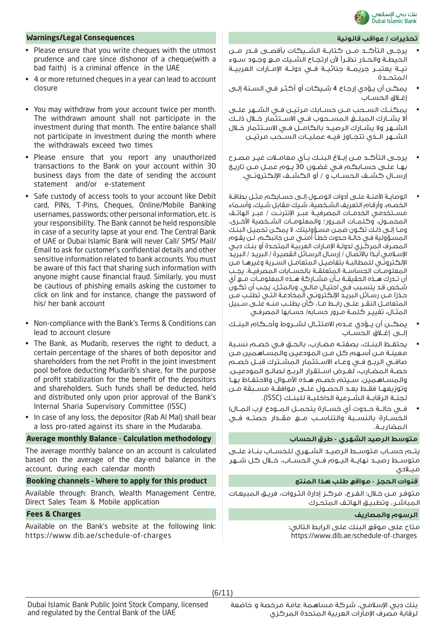

### **تحذيرات / عواقب قانونية Consequences Legal/Warnings**

- Please ensure that you write cheques with the utmost prudence and care since dishonor of a cheque(with a bad faith) is a criminal offence in the UAE
- 4 or more returned cheques in a year can lead to account closure
- You may withdraw from your account twice per month. The withdrawn amount shall not participate in the investment during that month. The entire balance shall not participate in investment during the month where the withdrawals exceed two times
- Please ensure that you report any unauthorized transactions to the Bank on your account within 30 business days from the date of sending the account statement and/or e-statement
- Safe custody of access tools to your account like Debit card, PINs, T-Pins, Cheques, Online/Mobile Banking usernames, passwords; other personal information, etc. is your responsibility. The Bank cannot be held responsible in case of a security lapse at your end. The Central Bank of UAE or Dubai Islamic Bank will never Call/ SMS/ Mail/ Email to ask for customer's confidential details and other sensitive information related to bank accounts. You must be aware of this fact that sharing such information with anyone might cause financial fraud. Similarly, you must be cautious of phishing emails asking the customer to click on link and for instance, change the password of his/ her bank account
- Non-compliance with the Bank's Terms & Conditions can lead to account closure
- The Bank, as Mudarib, reserves the right to deduct, a certain percentage of the shares of both depositor and shareholders from the net Profit in the joint investment pool before deducting Mudarib's share, for the purpose of profit stabilization for the benefit of the depositors and shareholders. Such funds shall be deducted, held and distributed only upon prior approval of the Bank's Internal Sharia Supervisory Committee (ISSC)
- In case of any loss, the depositor (Rab Al Mal) shall bear a loss pro-rated against its share in the Mudaraba.

### **متوسط الرصيد الشهري - طرق الحساب methodology Calculation - Balance monthly Average**

The average monthly balance on an account is calculated based on the average of the day-end balance in the account, during each calendar month

### **Booking channels – Where to apply for this product المنتج هذا طلب مواقع - الحجز قنوات**

Available through: Branch, Wealth Management Centre, Direct Sales Team & Mobile application

Available on the Bank's website at the following link: https://www.dib.ae/schedule-of-charges

- يرجــى التأكــد مــن كتابــة الشــيكات بأقصــى قــدر مــن الحيطــة والحــذر نظــرًا ألن ارتجــاع الشــيك مــع وجــود ســوء نيــة يعتبــر جريمــة جنائيــة فــي دولــة اإلمــارات العربيــة المتحــدة
- يمكـن أن يـؤدي إرجـاع 4 شـيكات أو أكثـر فـي السـنة إلـى إغــاق الحســاب
- يمكنــك الســحب مــن حســابك مرتيــن فــي الشــهر علــى أال يشــارك المبلــغ المســحوب فــي االســتثمار خــال ذلــك الشــهر وال يشــارك الرصيــد بالكامــل فــي االســتثمار خــال الشــهر الــذي تتجــاوز فيــه عمليــات الســحب مرتيــن
- يرجــى التأكــد مــن إبــاغ البنــك بــأي معامــات غيــر مصــرح بهـا علـى حسـابكم فـي غضـون 30 يـوم عمـل مـن تاريـخ إرســال كشــف الـحســاب و / أو الـكشــف الإلـكـترونــى.
- الوصايــة اآلمنــة علــى أدوات الوصــول إلــى حســابكم مثــل بطاقــة الخصـم، وأرقـام التعريف الشـخصية، شـيك مقابل شـيك، وأسـماء مســتخدمي الخدمــات المصرفيــة عبــر اإلنترنــت / عبــر الهاتــف المحمــول، وكلمــات المــرور؛ والمعلومــات الشــخصية األخــرى، ومـا إلـى ذلـك تكـون ضمـن مسـؤوليتك. ال يمكـن تحميـل البنـك المسـؤولية فـي حالـة حـدوث خطـأ أمنـي مـن جانبكـم. لـن يقـوم المصـرف المركـزي لدولـة اإلمـارات العربيـة المتحـدة أو بنـك دبـي الإسـلامـي ابـدًا بالاتصـال / إرسـال الرسـائل القصيـرة / البريـد / البريـد اإللكترونــي للمطالبــة بتفاصيــل المتعامــل الســرية وغيرهــا مــن المعلومــات الحساســة المتعلقــة بالحســابات المصرفيــة. يجــب أن تــدرك هــذه الحقيقــة بــأن مشــاركة هــذه المعلومــات مــع أي شـخص قـد يتسـبب فـي احتيـال مالـي. وبالمثـل، يجـب أن تكـون حـذرًا مـن رسـائل البريـد الإلكترونـي المخادعـة التـي تطلـب مـن المتعامــل النقــر علــى رابــط مــا، كأن يطلــب منــه علــى ســبيل المثـال، تغييـر كـلمـة مـرور حسـابه/ حســابها المصرفـى
- يمكــن أن يــؤدي عــدم االمتثــال لشــروط وأحــكام البنــك إلــى إغــاق الحســاب
- يحتفــظ البنــك، بصفتــه مضــارب، بالحــق فــي خصــم نســبة معينـة مـن أسـهم كل مـن المودعيـن والمسـاهمين مـن صافــي الربــح فــي وعــاء االســتثمار المشــترك قبــل خصــم حصــة المضــارب، لغــرض اســتقرار الربــح لصالــح المودعيــن. والمسـاهمين. سـيتم خصـم هـذه األمـوال واالحتفـاظ بهـا وتوزيعهـا فقـط بعـد الحصـول علـى موافقـة مسـبقة مـن لجنــة الرقابــة الشــرعية الداخليــة للبنــك )ISSC).
- فــي حالــة حــدوث أي خســارة يتحمــل المــودع )رب المــال( الخســارة بالنســبة والتناســب مــع مقــدار حصتــه فــي المضاربــة.

يتــم حســاب متوســط الرصيــد الشــهري للحســاب بنــاءً علـــى متوســط رصيــد نهايــة اليــوم فــي الحســاب، خــال كل شــهر ميــلادي

متوفـر مـن خـال: الفـرع، مركـز إدارة الثـروات، فريـق المبيعـات المباشـر، وتطبيـق الهاتـف المتحـرك

### **الرسوم والمصاريف Charges & Fees**

متاح على موقع البنك على الرابط التالي: https://www.dib.ae/schedule-of-charges

(6/11)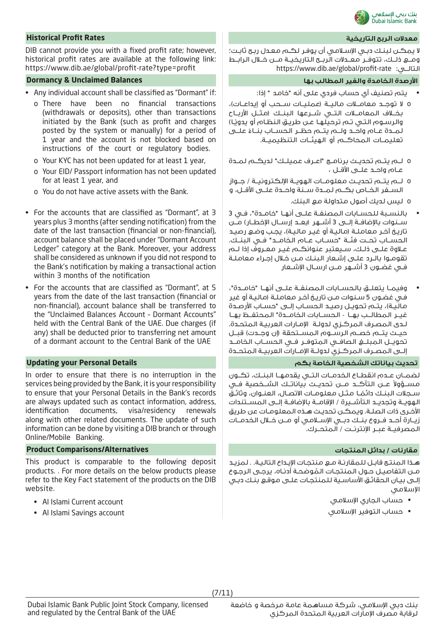

### **معدالت الربح التاريخية Rates Profit Historical**

DIB cannot provide you with a fixed profit rate; however, historical profit rates are available at the following link: https://www.dib.ae/global/profit-rate?type=profit

### **األرصدة الخامدة والغير المطالب بها Balances Unclaimed & Dormancy**

- Any individual account shall be classified as "Dormant" if:
	- o There have been no financial transactions (withdrawals or deposits), other than transactions initiated by the Bank (such as profit and charges posted by the system or manually) for a period of 1 year and the account is not blocked based on instructions of the court or regulatory bodies.
	- o Your KYC has not been updated for at least 1 year,
	- o Your EID/ Passport information has not been updated for at least 1 year, and
	- o You do not have active assets with the Bank.
- For the accounts that are classified as "Dormant", at 3 years plus 3 months (after sending notification) from the date of the last transaction (financial or non-financial), account balance shall be placed under "Dormant Account Ledger" category at the Bank. Moreover, your address shall be considered as unknown if you did not respond to the Bank's notification by making a transactional action within 3 months of the notification
- For the accounts that are classified as "Dormant", at 5 years from the date of the last transaction (financial or non-financial), account balance shall be transferred to the "Unclaimed Balances Account – Dormant Accounts" held with the Central Bank of the UAE. Due charges (if any) shall be deducted prior to transferring net amount of a dormant account to the Central Bank of the UAE

In order to ensure that there is no interruption in the services being provided by the Bank, it is your responsibility to ensure that your Personal Details in the Bank's records are always updated such as contact information, address, identification documents, visa/residency renewals along with other related documents. The update of such information can be done by visiting a DIB branch or through Online/Mobile Banking.

### **مقارنات / بدائل المنتجات Alternatives/Comparisons Product**

This product is comparable to the following deposit products. . For more details on the below products please refer to the Key Fact statement of the products on the DIB website.

- Al Islami Current account
- Al Islami Savings account

ال يمكـن لبنـك دبـي اإلسـامي أن يوفـر لكـم معـدل ربـح ثابـت؛ ومــع ذلــك، تتوفــر معــدالت الربــح التاريخيــة مــن خــال الرابــط https://www.dib.ae/global/profit-rate :التالــي

- يتم تصنيف أي حساب فردي على أنه "خامد " إذا:
- o ال توجــد معامــات ماليــة )عمليــات ســحب أو إيداعــات(، بخــاف المعامــات التــي شــرعها البنــك )مثــل األربــاح والرسـوم الـتـي تـم ترحيلهـا عـن طريـق النظـام أو يدويًـا) لمــدة عــام واحــد ولـــم يتـــم حظــر الـحســاب بنــاء علـــى<br>-تعليمــات المحاكــم أو الهيئــات التنظيميــة.
- o لــم يتــم تحديــث برنامــج "اعــرف عميلــك" لديكــم لمــدة عــام واحــد علــى األقــل ،
- o لــم يتــم تحديــث معلومــات الهويــة اإللكترونيــة / جــواز الســفر الخــاص بكــم لمــدة ســنة واحــدة علــى األقــل، و
	- o ليس لديك أصول متداولة مع البنك.
- بالنســبة للحســابات المصنفــة علــى أنهــا "خامــدة"، فــي 3 ســنوات باإلضافــة إلــى 3 أشــهر )بعــد إرســال اإلخطــار( مــن تاريـخ آخـر معامـلـة (ماليـة أو غيـر ماليـة)، يجـب وضـع رصيـد الحســاب تحــت فئــة "حســاب عــام الخامــد" فــي البنــك. عـاوة علـى ذلـك، سـيعتبر عنوانكـم غيـر معـروف إذا لـم تقومـوا بالـرد علـى إشـعار البنـك مـن خـال إجـراء معاملـة فــي غضــون 3 أشــهر مــن ارســال اإلشــعار
- وفيمــا يتعلــق بالحســابات المصنفــة علــى أنهــا "خامــدة"، فـي غضـون 5 سـنوات مـن تاريـخ آخـر معاملـة )ماليـة أو غير ماليـة)، يتـم تحويـل رصيـد الحسـاب إلــى "حسـاب الأرصـدة غيــر المطالــب بهــا - الحســابات الخامــدة" المحتفــظ بهــا لـدى المصـرف المركـزي لدولـة اإلمـارات العربيـة المتحـدة. حيــث يتــم خصــم الرســوم الـمســتحقة (إن وجــدت) قبــل تحويــل المبلــغ الصافــي المتوفــر فــي الحســاب الخامــد إلــى المصــرف المركــزي لدولــة اإلمــارات العربيــة المتحــدة

### **تحديث بياناتك الشخصية الخاصة بكم Details Personal your Updating**

لضمــان عــدم انقطــاع الخدمــات التــي يقدمهــا البنــك، تكــون مســؤولاً عــن الـتأكـــد مـــن تحديـــث بياناتــك الشــخصية فــي ســجلات الـبـنـك دائمـا مـثـل معلـومــات الاتصــال، الـعنــوان، وثائـقُ<br>الـهوـــة وتحديــد التأشــــرة / الاقامــة بالإضافــة الـــى المســتندات األخـرى ذات الصلـة. ويمكـن تحديـث هـذه المعلومـات عن طريق زيــارة أحــد فــروع بنــك دبــي اإلســامي أو مــن خــال الخدمــات المصرفيــة عبــر اإلنترنــت / المتحــرك.

هـذا المنتـج قابـل للمقارنـة مـع منتجـات اإليـداع التاليـة. . لمزيـد مــن الـتفاصيـل حــول الـمنـتجـات الـمُوضحـة أدنــاه، يرجــى الـرجــوع<br>إلــى بيـان الحقائـق الأساسـية لـلمنـتجـات علــى موقـع بنـك دبـى اإلسالمي

- حساب الجاري اإلسالمي
- حساب التوفير اإلسالمي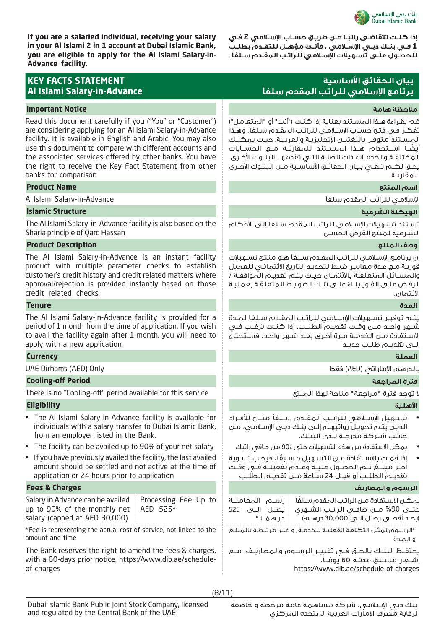

**If you are a salaried individual, receiving your salary in your Al Islami 2 in 1 account at Dubai Islamic Bank, you are eligible to apply for the Al Islami Salary-in-Advance facility.**

| <b>KEY FACTS STATEMENT</b><br><b>Al Islami Salary-in-Advance</b>                                                                                                                                                                                                                                                                                                                                    |                                  | بيان الحقائق الأساسية<br>برنامج الإسلامي للراتب المقدم سلفأ                                                                                                                                                          |                                                                                                                                                                                                                                                                                                                                                                                                                          |  |
|-----------------------------------------------------------------------------------------------------------------------------------------------------------------------------------------------------------------------------------------------------------------------------------------------------------------------------------------------------------------------------------------------------|----------------------------------|----------------------------------------------------------------------------------------------------------------------------------------------------------------------------------------------------------------------|--------------------------------------------------------------------------------------------------------------------------------------------------------------------------------------------------------------------------------------------------------------------------------------------------------------------------------------------------------------------------------------------------------------------------|--|
| <b>Important Notice</b>                                                                                                                                                                                                                                                                                                                                                                             |                                  |                                                                                                                                                                                                                      | ملاحظة هامة                                                                                                                                                                                                                                                                                                                                                                                                              |  |
| Read this document carefully if you ("You" or "Customer")<br>are considering applying for an Al Islami Salary-in-Advance<br>facility. It is available in English and Arabic. You may also<br>use this document to compare with different accounts and<br>the associated services offered by other banks. You have<br>the right to receive the Key Fact Statement from other<br>banks for comparison |                                  |                                                                                                                                                                                                                      | فم بقـراءة هـذا المسـتند بعناية إذا كنـت ("أنت" أو "المتعامل")<br>نفكر فى فتح حساب الإسلامى للراتب المقدم سلفاً. وهـذا<br>لمسـتند متوفـر باللغتيـن الإنجليزيـة والعربيـة. حيـث يمكنـك<br>يضًــا اســتخدام هـــذا الـمســتنـد للـمقارئــة مـــع الـحســـابات<br>لمختلفة والخدمـات ذات الصلــة الـتـى تقدمهـا البنــوك الأخـرى.<br>بحــق لـكــم تلقــى بيــان الـحقائــق الأسالســية مــن الـبـنــوك الأخــرى<br>للمقارنـة |  |
| <b>Product Name</b>                                                                                                                                                                                                                                                                                                                                                                                 |                                  | اسم المنتج                                                                                                                                                                                                           |                                                                                                                                                                                                                                                                                                                                                                                                                          |  |
| Al Islami Salary-in-Advance                                                                                                                                                                                                                                                                                                                                                                         |                                  | لإسلامى للراتب المقدم سلفأ                                                                                                                                                                                           |                                                                                                                                                                                                                                                                                                                                                                                                                          |  |
| <b>Islamic Structure</b>                                                                                                                                                                                                                                                                                                                                                                            |                                  |                                                                                                                                                                                                                      | الهيكلة الشرعية                                                                                                                                                                                                                                                                                                                                                                                                          |  |
| The AI Islami Salary-in-Advance facility is also based on the<br>Sharia principle of Qard Hassan                                                                                                                                                                                                                                                                                                    |                                  | نستند تسهيلات الإسلامى للراتب المقدم سلفأ إلى الأحكام<br>لشرعية لمنتج القرض الحسن                                                                                                                                    |                                                                                                                                                                                                                                                                                                                                                                                                                          |  |
| <b>Product Description</b>                                                                                                                                                                                                                                                                                                                                                                          |                                  | وصف المنتج                                                                                                                                                                                                           |                                                                                                                                                                                                                                                                                                                                                                                                                          |  |
| The Al Islami Salary-in-Advance is an instant facility<br>product with multiple parameter checks to establish<br>customer's credit history and credit related matters where<br>approval/rejection is provided instantly based on those<br>credit related checks.                                                                                                                                    |                                  | ن برنامـج الإسـلامـى لـلراتـب الـمقـدم سـلـفاً هـو مـنـتج تسـهـيلات<br>)المســائل المتعلقــة بالائتمــان حيــث يتــم تقديــم الـموافقــة /<br>لرفض على الفور بناءً على تلك الضوابط المتعلقة بعملية<br>لائتمان.       |                                                                                                                                                                                                                                                                                                                                                                                                                          |  |
| <b>Tenure</b>                                                                                                                                                                                                                                                                                                                                                                                       |                                  | المدة                                                                                                                                                                                                                |                                                                                                                                                                                                                                                                                                                                                                                                                          |  |
| The AI Islami Salary-in-Advance facility is provided for a<br>period of 1 month from the time of application. If you wish<br>to avail the facility again after 1 month, you will need to<br>apply with a new application                                                                                                                                                                            |                                  | بتـم توفيـر تســهيلات الإســلامـى لـلراتـب الـمقــدم ســلفا لـمــدة<br>ثىـــهر واحـــد مــــن وقــت تقديــــم الـطلـــب. إذا كـنــت ترغــب فــى<br>لاسـتفادة مــن الـخدمــة مــرة أخــرى بعـد شــهر واحـد، فســتحتاج |                                                                                                                                                                                                                                                                                                                                                                                                                          |  |
| <b>Currency</b>                                                                                                                                                                                                                                                                                                                                                                                     |                                  |                                                                                                                                                                                                                      | العملة                                                                                                                                                                                                                                                                                                                                                                                                                   |  |
| UAE Dirhams (AED) Only                                                                                                                                                                                                                                                                                                                                                                              |                                  | بالدرهـم الإماراتي (AED) فقط                                                                                                                                                                                         |                                                                                                                                                                                                                                                                                                                                                                                                                          |  |
| <b>Cooling-off Period</b>                                                                                                                                                                                                                                                                                                                                                                           |                                  | فترة المراجعة                                                                                                                                                                                                        |                                                                                                                                                                                                                                                                                                                                                                                                                          |  |
| There is no "Cooling-off" period available for this service                                                                                                                                                                                                                                                                                                                                         |                                  | ١ توجد فترة "مراجعة" متاحة لهذا المنتج                                                                                                                                                                               |                                                                                                                                                                                                                                                                                                                                                                                                                          |  |
| <b>Eligibility</b>                                                                                                                                                                                                                                                                                                                                                                                  |                                  | الأهلية                                                                                                                                                                                                              |                                                                                                                                                                                                                                                                                                                                                                                                                          |  |
| • The AI Islami Salary-in-Advance facility is available for<br>individuals with a salary transfer to Dubai Islamic Bank,<br>from an employer listed in the Bank.                                                                                                                                                                                                                                    |                                  | تســهيل الإســلامـي للـراتــب الـمقــدم ســلفأ مـتــاح للأفــراد<br>الذيـن يتـم تحويـل رواتبهـم إلـى بنـك دبـى الإسـلامـى، مـن<br>جانب شــركة مدرجــة لــدى البنــك.                                                 |                                                                                                                                                                                                                                                                                                                                                                                                                          |  |
| • The facility can be availed up to 90% of your net salary                                                                                                                                                                                                                                                                                                                                          |                                  | يمكن الاستفادة من هذه التسهيلات حتى ٪90 من صافى راتبك                                                                                                                                                                |                                                                                                                                                                                                                                                                                                                                                                                                                          |  |
| • If you have previously availed the facility, the last availed<br>amount should be settled and not active at the time of<br>application or 24 hours prior to application                                                                                                                                                                                                                           |                                  | إذا قمت بالاستفادة مـن التسـهيل مسـبقًا، فيجـب تسـوية<br>تقديــم الـطلــب أو قبــل 24 ســاعة مــن تقديــم الـطلــب                                                                                                   |                                                                                                                                                                                                                                                                                                                                                                                                                          |  |
| <b>Fees &amp; Charges</b>                                                                                                                                                                                                                                                                                                                                                                           |                                  |                                                                                                                                                                                                                      | الرسوم والمصاريف                                                                                                                                                                                                                                                                                                                                                                                                         |  |
| Salary in Advance can be availed<br>up to 90% of the monthly net<br>salary (capped at AED 30,000)                                                                                                                                                                                                                                                                                                   | Processing Fee Up to<br>AED 525* | رســم المعاملــة<br>يصـــل الــــى 525<br>در همًا *                                                                                                                                                                  | بمكـن الاسـتفادة مـن الراتب المقدم سـلفًا<br>عتــى 90% مـــن صافــى الـراتــب الشـــهـرى<br>(بحـد أقصــي يصــل الــي 30,000 درهـــم)                                                                                                                                                                                                                                                                                     |  |
| *Fee is representing the actual cost of service, not linked to the<br>amount and time                                                                                                                                                                                                                                                                                                               |                                  |                                                                                                                                                                                                                      | *الرسوم تمثل التكلفة الفعلية للخدمة, و غير مرتبطة بالمبلغ<br>و المدة                                                                                                                                                                                                                                                                                                                                                     |  |

The Bank reserves the right to amend the fees & charges, with a 60-days prior notice. https://www.dib.ae/scheduleof-charges

**إذا كنـت تتقاضـى راتبـً عـن طريـق حسـاب اإلسـامي 2 فـي 1 فــي بنــك دبــي اإلســامي ، فأنــت مؤهــل للتقــدم بطلــب للحصـول علـى تسـهيالت اإلسـامي للراتـب المقـدم سـلفًا.**

- تســهيل اإلســامي للراتــب المقــدم ســلفًا متــاح لألفــراد
	- يمكن االستفادة من هذه التسهيالت حتى 90٪ من صافي راتبك
- 

| ه المــده                                                       |
|-----------------------------------------------------------------|
| يحتفــظ البنــك بالحــق فــى تغييــر الرســوم والمصاريــف، مــع |
| اشــعار مســىق مدتــه 60 يومًــا.                               |
| https://www.dib.ae/schedule-of-charges                          |
|                                                                 |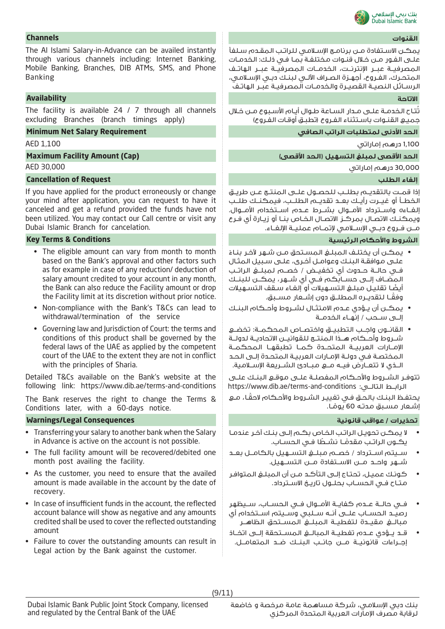

يمكـن االسـتفادة مـن برنامـج اإلسـامي للراتـب المقـدم سـلفًا علـى الفـور مـن خـال قنـوات مختلفـة بمـا فـي ذلـك: الخدمـات المصرفيــة عبــر اإلنترنــت، الخدمــات المصرفيــة عبــر الهاتــف المتحـرك، الفـروع، أجهـزة الصـراف اآللـي لبنـك دبـي اإلسـامي، الرســائل النصيــة القصيــرة والخدمــات المصرفيــة عبــر الهاتــف

تتـاح الـخدمـة علــى مـدار الـسـاعة طـوال أيـام الأسـبوع مـن خـلال جميـع القنـوات باسـتثناء الفـروع )تطبـق أوقـات الفـروع(

1,100 درهم إماراتي 1,100 AED

### **الحد األقصى لمبلغ التسهيل )الحد األقصى(**

30,000 درهم إماراتي

إذا قمــت بالتقديــم بطلــب للحصــول علــى المنتــج عــن طريــق الخطــأ أو غيــرت رأيــك بعــد تقديــم الطلــب، فيمكنــك طلــب إلغــاءه واســترداد األمــوال بشــرط عــدم اســتخدام األمــوال. ويمكنــك االتصــال بمركــز االتصــال الخــاص بنــا أو زيــارة أي فــرع مــن فــروع دبــي اإلســامي إلتمــام عمليــة اإللغــاء.

### **الشروط واألحكام الرئيسية Conditions & Terms Key**

- يمكـن أن يختلـف المبلـغ المسـتحق مـن شـهر آلخـر بنـاء علـى موافقـة البنـك وعوامـل أخـرى، علـى سـبيل المثـال فــي حالــة حــدوث أي تخفيــض / خصــم لمبلــغ الراتــب المضــاف إلــى حســابكم فــي أي شــهر، يمكــن للبنــك ً أيضـا تقليـل مبلـغ التسـهيالت أو إلغـاء سـقف التسـهيالت ً وفقــا لتقديــره المطلــق دون إشــعار مســبق.
- يمكــن أن يــؤدي عــدم االمتثــال لشــروط وأحــكام البنــك إلــى ســحب / إنهــاء الخدمــة
- القانــون واجــب التطبيــق واختصــاص المحكمــة: تخضــع شــروط وأحــكام هــذا المنتــج للقوانيــن االتحاديــة لدولــة اإلمــارات العربيــة المتحــدة كمــا تطبقهــا المحكمــة المختصـة فـي دولـة اإلمـارات العربيـة المتحـدة إلـى الحـد الــذي ال تتعــارض فيــه مــع مبــادئ الشــريعة اإلســامية.

تتوفــر الشــروط واألحــكام المفصلــة علــى موقــع البنــك علــى https://www.dib.ae/terms-and-conditions :التالــي الرابــط

يحتفـظ الـبنـك بالـحـق فـي تغييـر الـشـروط والأحـكام لاحقًـا، مـع ِشـعار مسـبق مدتـه 60 يومًـا. **ا** 

- ال يمكـن تحويـل الراتـب الخـاص بكـم إلـى بنـك آخـر عندمـا يكــون الراتـب مقدمًــا نشــطًا فــى الـحســاب. **ا**
- ســيتم اســترداد / خصــم مبلــغ التســهيل بالكامــل بعــد شــهر واحــد مــن االســتفادة مــن التســهيل.
- كونـك عميـل، تحتـاج إلـى التأكـد مـن أن المبلـغ المتوافـر متــاح فــي الحســاب بحلــول تاريــخ االســترداد.
- فــي حالــة عــدم كفايــة األمــوال فــي الحســاب، ســيظهر رصيــد الحســاب علــى أنــه ســلبي وســيتم اســتخدام أي مبالــغ مقيــدة لتغطيــة المبلــغ المســتحق الظاهــر
- قــد يــؤدي عــدم تغطيــة المبالــغ المســتحقة إلــى اتخــاذ إجــراءات قانونيــة مــن جانــب البنــك ضــد المتعامــل.

# **القنوات Channels**

The Al Islami Salary-in-Advance can be availed instantly through various channels including: Internet Banking, Mobile Banking, Branches, DIB ATMs, SMS, and Phone Banking

# **االتاحة Availability**

The facility is available 24 / 7 through all channels excluding Branches (branch timings apply)

### **الحد األدنى لمتطلبات الراتب الصافي Requirement Salary Net Minimum**

**Maximum Facility Amount (Cap)**

AED 30,000

# **Cancellation of Request الطلب إلغاء**

If you have applied for the product erroneously or change your mind after application, you can request to have it canceled and get a refund provided the funds have not been utilized. You may contact our Call centre or visit any Dubai Islamic Branch for cancelation.

- The eligible amount can vary from month to month based on the Bank's approval and other factors such as for example in case of any reduction/ deduction of salary amount credited to your account in any month, the Bank can also reduce the Facility amount or drop the Facility limit at its discretion without prior notice.
- Non-compliance with the Bank's T&Cs can lead to withdrawal/termination of the service
- Governing law and Jurisdiction of Court: the terms and conditions of this product shall be governed by the federal laws of the UAE as applied by the competent court of the UAE to the extent they are not in conflict with the principles of Sharia.

Detailed T&Cs available on the Bank's website at the following link: https://www.dib.ae/terms-and-conditions

The Bank reserves the right to change the Terms & Conditions later, with a 60-days notice.

### **تحذيرات / عواقب قانونية Consequences Legal/Warnings**

- Transferring your salary to another bank when the Salary in Advance is active on the account is not possible.
- The full facility amount will be recovered/debited one month post availing the facility.
- As the customer, you need to ensure that the availed amount is made available in the account by the date of recovery.
- In case of insufficient funds in the account, the reflected account balance will show as negative and any amounts credited shall be used to cover the reflected outstanding amount
- Failure to cover the outstanding amounts can result in Legal action by the Bank against the customer.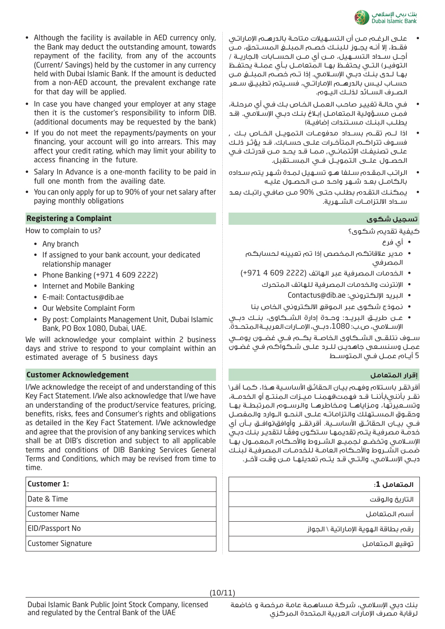

- علـى الرغـم مـن أن التسـهيالت متاحـة بالدرهـم اإلماراتـي فقــط، إال أنــه يجــوز للبنــك خصــم المبلــغ المســتحق، مــن أجــل ســداد التســهيل، مــن أي مــن الحســابات )الجاريــة / التوفيــر) التــى يحتفــظ بهــا الـمتعامــل بــأي عملــة يحتفــظ بهــا لــدى بنــك دبــي اإلســامي. إذا تــم خصــم المبلــغ مــن حســاب ليــس بالدرهــم اإلماراتــي، فســيتم تطبيــق ســعر الصــرف الســائد لذلــك اليــوم.
- فـي حالـة تغييـر صاحـب العمـل الخـاص بـك فـي أي مرحلـة، فمـن مسـؤولية المتعامـل إبـاغ بنـك دبـي اإلسـامي. )قـد يطلـب البنـك مسـتندات إضافيـة(
- اذا لــم تقــم بســداد مدفوعــات التمويــل الخــاص بــك , فسـوف تتراكـم المتأخـرات علـى حسـابك. قـد يؤثـر ذلـك علــى تصنيفــك اإلئتمانــي, ممــا قــد يحــد مــن قدرتــك فــي الحصــول علــى التمويــل فــي المســتقبل.
- الراتـب المقـدم سـلفا هـو تسـهيل لمـدة شـهر يتم سـداده بالكامــل بعــد شــهر واحــد مــن الحصــول عليــه
- يمكنـك التقـدم بطلـب حتـى 90% مـن صافـي راتبـك بعـد ســداد االلتزامــات الشــهرية.

كيفية تقديم شكوى؟

- أي فرع
- مدير عالقاتكم المخصص إذا تم تعيينه لحسابكم المصرفي
- الخدمات المصرفية عبر الهاتف )2222 609 4 +971(
	- اإلنترنت والخدمات المصرفية للهاتف المتحرك
		- Contactus@dib.ae :اإللكتروني البريد•
	- نموذج شكوى عبر الموقع االلكتروني الخاص بنا
- عــن طريــق البريــد: وحــدة إدارة الشــكاوى، بنــك دبــي اإلســامي، ص.ب: ،1080 دبــي، اإلمــارات العربيــة المتحــدة.

ســوف نتلقــى الشــكاوى الخاصــة بكــم فــي غضــون يومــي عمـل وسنسـعى جاهديـن للـرد علـى شـكواكم فـي غضـون 5 أيــام عمــل فــي المتوســط

أقر\نقـر باسـتلام وفهـم بيـان الحقائـق الأساسـية هـذا، كمـا أقـر\ نقــر بأنني\بأننــا قــد فهمت\فهمنــا ميــزات المنتــج أو الخدمــة، وتســعيرتها، ومزاياهــا ومخاطرهــا والرســوم المرتبطــة بهــا وحقــوق المســتهلك والتزاماتــه علــى النحــو الــوارد والمفصــل فــي بيــان الحقائــق األساســية. أقر\نقــر وأوافق\نوافــق بــأن أي ً خدمـة مصرفيـة يتـم تقديمهـا سـتكون وفقـا لتقديـر بنـك دبـي الإســلامـى وتخضــع لـجميــع الشــروط والأحــكام المعمــول بهــا ضمــن الشــروط واألحــكام العامــة للخدمــات المصرفيــة لبنــك دبــي اإلســامي، والتــي قــد يتــم تعديلهــا مــن وقــت آلخــر.

# **المتعامل :1**

التاريخ والوقت

أسم المتعامل

رقم بطاقة الهوية اإلماراتية \ الجواز

توقيع المتعامل

- Although the facility is available in AED currency only, the Bank may deduct the outstanding amount, towards repayment of the facility, from any of the accounts (Current/ Savings) held by the customer in any currency held with Dubai Islamic Bank. If the amount is deducted from a non-AED account, the prevalent exchange rate for that day will be applied.
- In case you have changed your employer at any stage then it is the customer's responsibility to inform DIB. (additional documents may be requested by the bank)
- If you do not meet the repayments/payments on your financing, your account will go into arrears. This may affect your credit rating, which may limit your ability to access financing in the future.
- Salary In Advance is a one-month facility to be paid in full one month from the availing date.
- You can only apply for up to 90% of your net salary after paying monthly obligations

# **Registering a Complaint شكوى تسجيل**

How to complain to us?

- Any branch
- If assigned to your bank account, your dedicated relationship manager
- Phone Banking (+971 4 609 2222)
- Internet and Mobile Banking
- E-mail: Contactus@dib.ae
- Our Website Complaint Form
- By post: Complaints Management Unit, Dubai Islamic Bank, PO Box 1080, Dubai, UAE.

We will acknowledge your complaint within 2 business days and strive to respond to your complaint within an estimated average of 5 business days

### **إقرار المتعامل Acknowledgement Customer**

I/We acknowledge the receipt of and understanding of this Key Fact Statement. I/We also acknowledge that I/we have an understanding of the product/service features, pricing, benefits, risks, fees and Consumer's rights and obligations as detailed in the Key Fact Statement. I/We acknowledge and agree that the provision of any banking services which shall be at DIB's discretion and subject to all applicable terms and conditions of DIB Banking Services General Terms and Conditions, which may be revised from time to time.

Date & Time

Customer Name

EID/Passport No

Customer Signature